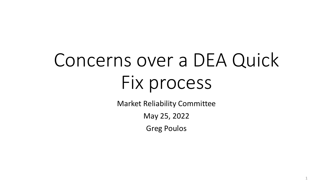# Concerns over a DEA Quick Fix process

Market Reliability Committee

May 25, 2022

Greg Poulos

1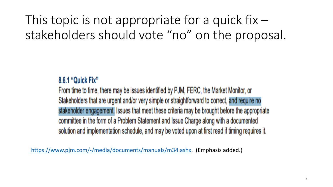This topic is not appropriate for a quick fix  $$ stakeholders should vote "no" on the proposal.

### 8.6.1 "Quick Fix"

From time to time, there may be issues identified by PJM, FERC, the Market Monitor, or Stakeholders that are urgent and/or very simple or straightforward to correct, and require no stakeholder engagement. Issues that meet these criteria may be brought before the appropriate committee in the form of a Problem Statement and Issue Charge along with a documented solution and implementation schedule, and may be voted upon at first read if timing requires it.

<https://www.pjm.com/-/media/documents/manuals/m34.ashx>. (Emphasis added.)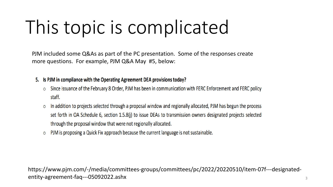## This topic is complicated

PJM included some Q&As as part of the PC presentation. Some of the responses create more questions. For example, PJM Q&A May #5, below:

- 5. Is PJM in compliance with the Operating Agreement DEA provisions today?
	- Since issuance of the February 8 Order, PJM has been in communication with FERC Enforcement and FERC policy  $\circ$ staff.
	- In addition to projects selected through a proposal window and regionally allocated, PJM has begun the process O set forth in OA Schedule 6, section 1.5.8(j) to issue DEAs to transmission owners designated projects selected through the proposal window that were not regionally allocated.
	- PJM is proposing a Quick Fix approach because the current language is not sustainable.  $\circ$

https://www.pjm.com/-/media/committees-groups/committees/pc/2022/20220510/item-07f---designatedentity-agreement-faq---05092022.ashx 3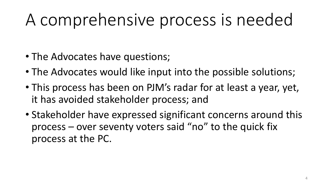## A comprehensive process is needed

- The Advocates have questions;
- The Advocates would like input into the possible solutions;
- This process has been on PJM's radar for at least a year, yet, it has avoided stakeholder process; and
- Stakeholder have expressed significant concerns around this process – over seventy voters said "no" to the quick fix process at the PC.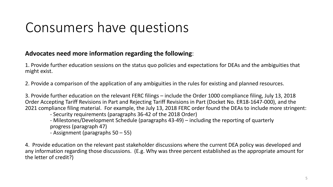### Consumers have questions

#### **Advocates need more information regarding the following**:

1. Provide further education sessions on the status quo policies and expectations for DEAs and the ambiguities that might exist.

2. Provide a comparison of the application of any ambiguities in the rules for existing and planned resources.

3. Provide further education on the relevant FERC filings – include the Order 1000 compliance filing, July 13, 2018 Order Accepting Tariff Revisions in Part and Rejecting Tariff Revisions in Part (Docket No. ER18-1647-000), and the 2021 compliance filing material. For example, the July 13, 2018 FERC order found the DEAs to include more stringent:

- Security requirements (paragraphs 36-42 of the 2018 Order)
- Milestones/Development Schedule (paragraphs 43-49) including the reporting of quarterly progress (paragraph 47)
- Assignment (paragraphs 50 55)

4. Provide education on the relevant past stakeholder discussions where the current DEA policy was developed and any information regarding those discussions. (E.g. Why was three percent established as the appropriate amount for the letter of credit?)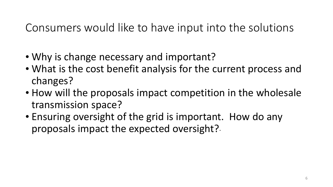### Consumers would like to have input into the solutions

- Why is change necessary and important?
- What is the cost benefit analysis for the current process and changes?
- How will the proposals impact competition in the wholesale transmission space?
- Ensuring oversight of the grid is important. How do any proposals impact the expected oversight?.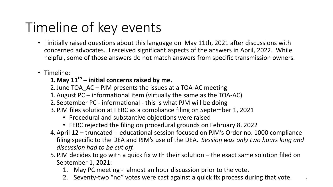## Timeline of key events

- I initially raised questions about this language on May 11th, 2021 after discussions with concerned advocates. I received significant aspects of the answers in April, 2022. While helpful, some of those answers do not match answers from specific transmission owners.
- Timeline:

#### **1.May 11th – initial concerns raised by me.**

- 2.June TOA\_AC PJM presents the issues at a TOA-AC meeting
- 1.August PC informational item (virtually the same as the TOA-AC)
- 2. September PC informational this is what PJM will be doing
- 3. PJM files solution at FERC as a compliance filing on September 1, 2021
	- Procedural and substantive objections were raised
	- FERC rejected the filing on procedural grounds on February 8, 2022
- 4.April 12 truncated educational session focused on PJM's Order no. 1000 compliance filing specific to the DEA and PJM's use of the DEA. *Session was only two hours long and discussion had to be cut off.*
- 5. PJM decides to go with a quick fix with their solution the exact same solution filed on September 1, 2021:
	- 1. May PC meeting almost an hour discussion prior to the vote.
	- 2. Seventy-two "no" votes were cast against a quick fix process during that vote.  $\frac{1}{7}$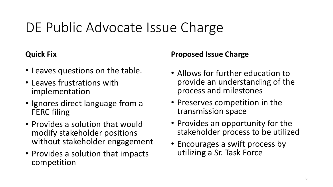### DE Public Advocate Issue Charge

### **Quick Fix**

- Leaves questions on the table.
- Leaves frustrations with implementation
- Ignores direct language from a FERC filing
- Provides a solution that would modify stakeholder positions without stakeholder engagement
- Provides a solution that impacts competition

#### **Proposed Issue Charge**

- Allows for further education to provide an understanding of the process and milestones
- Preserves competition in the transmission space
- Provides an opportunity for the stakeholder process to be utilized
- Encourages a swift process by utilizing a Sr. Task Force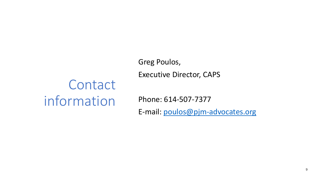## **Contact** information

Greg Poulos, Executive Director, CAPS

Phone: 614-507-7377

E-mail: [poulos@pjm-advocates.org](mailto:poulos@pjm-advocates.org)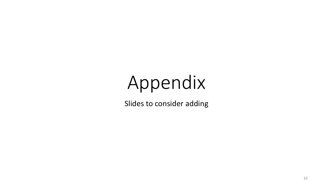# Appendix

Slides to consider adding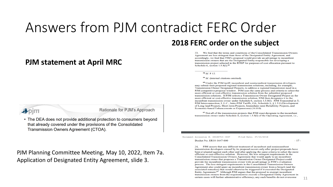### Answers from PJM contradict FERC Order

#### **PJM statement at April MRC**

We find that the terms and conditions of the Consolidated Transmission Owners 33. Agreement are less stringent than those of the Designated Entity Agreement, and accordingly, we find that PJM's proposal would provide an advantage to incumbent transmission owners that are the Designated Entity responsible for developing a

transmission project selected in the RTEP for purposes of cost allocation pursuant to

 $58$  *Id.* P 12.

Schedule 6, section  $1.5.8(1).<sup>61</sup>$ 

<sup>59</sup> Id. (internal citations omitted).

**2018 FERC order on the subject**

<sup>60</sup> Under the PJM tariff, incumbent and nonincumbent transmission developers may submit their proposed regional transmission solutions, including, for example, Transmission Owner Designated Projects, to address a regional transmission need in a PJM competitive proposal window. PJM uses the same process and criteria to select the more efficient or cost-effective transmission solution from the submitted proposed transmission solutions. If PJM selects a Transmission Owner Designated Project as the more efficient or cost-effective transmission solution, PJM then designates it to the incumbent transmission owner under Schedule 6, section 1.5.8(1). PJM Transmittal at 5; PJM Interconnection, L.L.C., Intra-PJM Tariffs, OA, Schedule 6, § 1.5.8 (Development of Long-lead Projects, Short-term Projects, Immediate-need Reliability Projects, and Economic-based Enhancements or Expansions) (16.0.0).

<sup>61</sup> Not all of the transmission projects that PJM must designate to the incumbent transmission owner under Schedule 6, section 1.5.8(1) of the Operating Agreement, i.e.,

Document Accession #: 20180713-3047

Docket No. ER18-1647-000

Filed Date: 07/13/2018

 $-17-$ 

PJM asserts that any different treatment of incumbent and nonincumbent 34. transmission developers caused by its proposal occurs only after project proposals have been evaluated against each other and after applying the same criteria to select the more efficient or cost-effective solution. However, the less stringent requirements in the Consolidated Transmission Owners Agreement that would apply to an incumbent transmission owner that proposes a Transmission Owner Designated Project could provide the incumbent transmission owner with an advantage in PJM's evaluation process. The less stringent requirements in the Consolidated Transmission Owners Agreement also could spare an incumbent transmission owner from a breach (and the associated remedies) that would otherwise be triggered if it executed the Designated Entity Agreement.<sup>62</sup> Although PJM argues that the proposal to exempt incumbent transmission owners from the requirement to execute a Designated Entity Agreement in certain cases will further administrative efficiency, any such benefits do not overcome



Rationale for PJM's Approach

• The DEA does not provide additional protection to consumers beyond that already covered under the provisions of the Consolidated Transmission Owners Agreement (CTOA).

PJM Planning Committee Meeting, May 10, 2022, Item 7a. Application of Designated Entity Agreement, slide 3.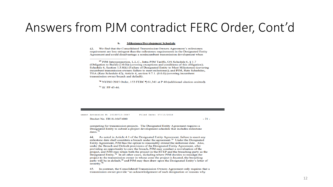### Answers from PJM contradict FERC Order, Cont'd

#### **Milestones/Development Schedule** Ь.

43. We find that the Consolidated Transmission Owners Agreement's milestones requirement are less stringent than the milestones requirements in the Designated Entity Agreement and could disadvantage a nonincumbent transmission development when

<sup>70</sup> NYISO 2015 Order, 153 FERC 161,341 at P 40 (additional citation omitted).

<sup>71</sup> Id. PP 45-46.

ument Accession #: 20180713-3047 Filed Date: 07/13/2018

Docket No. ER18-1647-000

 $-21 -$ 

competing for transmission projects. The Designated Entity Agreement requires a Designated Entity to submit a project development schedule that includes milestone dates. $72$ 

44. As noted in Article 4.1 of the Designated Entity Agreement, failure to meet any milestone date shall constitute a breach under the agreement.<sup>73</sup> Under the Designated Entity Agreement, PJM has the option to reasonably extend the milestone date. Also, under the Breach and Default provisions of the Designated Entity Agreement, after providing an opportunity to cure the breach, PJM may conduct a reevaluation of the project, and PJM may retain both the project in the RTEP and the breaching party as the Designated Entity.<sup>74</sup> In all other cases, including where PJM decides to reassign the project to the transmission owner in whose zone the project is located, the breaching party will be in default.<sup>75</sup> and PJM may then draw upon the Designated Entity's letter of security.<sup>76</sup>

45. In contrast, the Consolidated Transmission Owners Agreement only requires that a transmission owner provide "an acknowledgement of such designation or reasons why

<sup>&</sup>lt;sup>69</sup> PJM Interconnection, L.L.C., Intra-PJM Tariffs, OA Schedule 6, 8 1.7 (Obligation to Build) (2.0.0)) (covering exceptions and conditions of this obligation); Schedule 6, Section 1.5.8(k) (Failure of Designated Entity to Meet Milestones) (covering incumbent transmission owners failure to meet milestones); and PJM, Rate Schedules, TOA (Rate Schedule 42), Article 4, section 9.7.1, (0.0.0) (covering incumbent transmission owner breach and default).